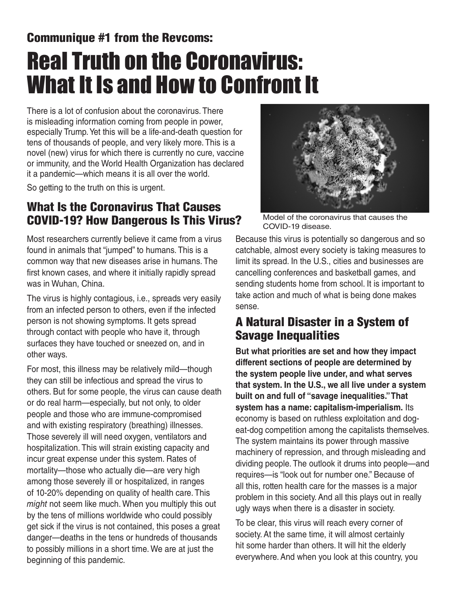# Communique #1 from the Revcoms: Real Truth on the Coronavirus: What It Is and How to Confront It

There is a lot of confusion about the coronavirus. There is misleading information coming from people in power, especially Trump. Yet this will be a life-and-death question for tens of thousands of people, and very likely more. This is a novel (new) virus for which there is currently no cure, vaccine or immunity, and the World Health Organization has declared it a pandemic—which means it is all over the world.

So getting to the truth on this is urgent.

### What Is the Coronavirus That Causes COVID-19? How Dangerous Is This Virus?

Most researchers currently believe it came from a virus found in animals that "jumped" to humans. This is a common way that new diseases arise in humans. The first known cases, and where it initially rapidly spread was in Wuhan, China.

The virus is highly contagious, i.e., spreads very easily from an infected person to others, even if the infected person is not showing symptoms. It gets spread through contact with people who have it, through surfaces they have touched or sneezed on, and in other ways.

For most, this illness may be relatively mild—though they can still be infectious and spread the virus to others. But for some people, the virus can cause death or do real harm—especially, but not only, to older people and those who are immune-compromised and with existing respiratory (breathing) illnesses. Those severely ill will need oxygen, ventilators and hospitalization. This will strain existing capacity and incur great expense under this system. Rates of mortality—those who actually die—are very high among those severely ill or hospitalized, in ranges of 10-20% depending on quality of health care. This *might* not seem like much. When you multiply this out by the tens of millions worldwide who could possibly get sick if the virus is not contained, this poses a great danger—deaths in the tens or hundreds of thousands to possibly millions in a short time. We are at just the beginning of this pandemic.



Model of the coronavirus that causes the COVID-19 disease.

Because this virus is potentially so dangerous and so catchable, almost every society is taking measures to limit its spread. In the U.S., cities and businesses are cancelling conferences and basketball games, and sending students home from school. It is important to take action and much of what is being done makes sense.

#### A Natural Disaster in a System of Savage Inequalities

**But what priorities are set and how they impact different sections of people are determined by the system people live under, and what serves that system. In the U.S., we all live under a system built on and full of "savage inequalities." That system has a name: capitalism-imperialism.** Its economy is based on ruthless exploitation and dogeat-dog competition among the capitalists themselves. The system maintains its power through massive machinery of repression, and through misleading and dividing people. The outlook it drums into people—and requires—is "look out for number one." Because of all this, rotten health care for the masses is a major problem in this society. And all this plays out in really ugly ways when there is a disaster in society.

To be clear, this virus will reach every corner of society. At the same time, it will almost certainly hit some harder than others. It will hit the elderly everywhere. And when you look at this country, you